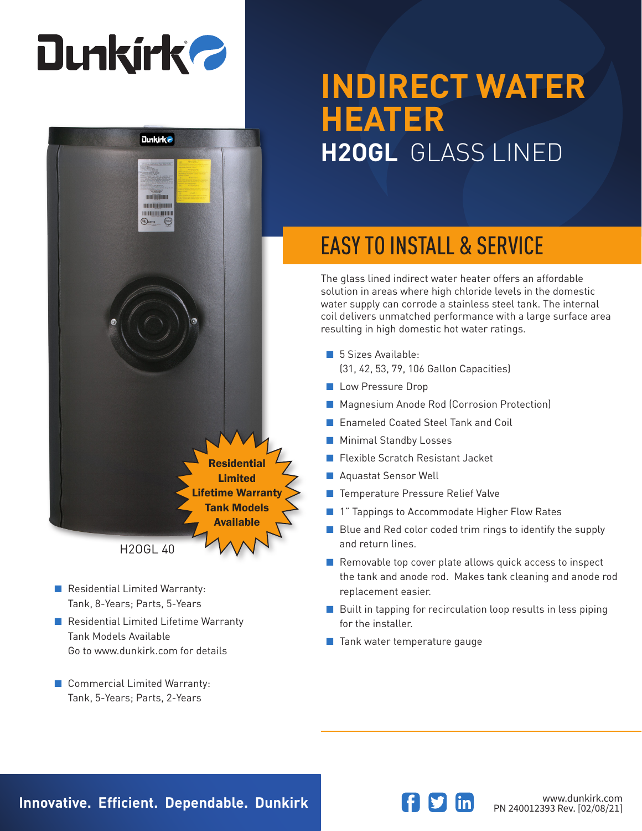# **Dunkirk 2**



- Residential Limited Warranty: Tank, 8-Years; Parts, 5-Years
- Residential Limited Lifetime Warranty Tank Models Available Go to www.dunkirk.com for details
- Commercial Limited Warranty: Tank, 5-Years; Parts, 2-Years

## **INDIRECT WATER HEATER H2OGL** GLASS LINED

## EASY TO INSTALL & SERVICE

The glass lined indirect water heater offers an affordable solution in areas where high chloride levels in the domestic water supply can corrode a stainless steel tank. The internal coil delivers unmatched performance with a large surface area resulting in high domestic hot water ratings.

- 5 Sizes Available: (31, 42, 53, 79, 106 Gallon Capacities)
- Low Pressure Drop
- Magnesium Anode Rod (Corrosion Protection)
- Enameled Coated Steel Tank and Coil
- Minimal Standby Losses
- Flexible Scratch Resistant Jacket
- Aquastat Sensor Well
- Temperature Pressure Relief Valve
- 1" Tappings to Accommodate Higher Flow Rates
- Blue and Red color coded trim rings to identify the supply and return lines.
- Removable top cover plate allows quick access to inspect the tank and anode rod. Makes tank cleaning and anode rod replacement easier.
- Built in tapping for recirculation loop results in less piping for the installer.
- Tank water temperature gauge

**Innovative. Efficient. Dependable. Dunkirk and Southern Communistry of the Magnetic Www.dunkirk.com**